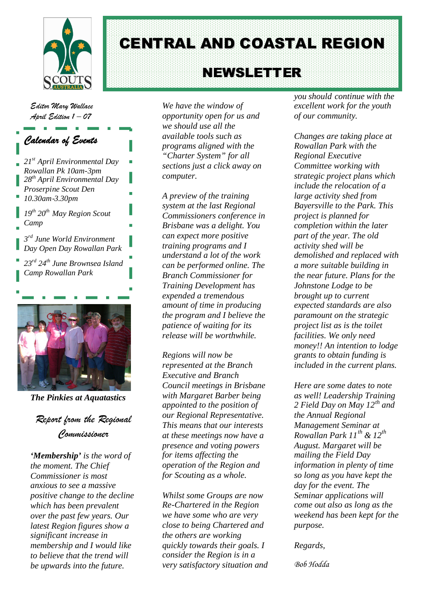

CENTRAL AND COASTAL REGION

# NEWS LETTER

*Editor Mary Wallace April Edition 1 – 07*

#### *Calendar of Events*

- *21st April Environmental Day Rowallan Pk 10am-3pm 28th April Environmental Day Proserpine Scout Den 10.30am-3.30pm*
- *19th 20th May Region Scout Camp*
- *3 rd June World Environment Day Open Day Rowallan Park*
- *23rd 24th June Brownsea Island Camp Rowallan Park*



*The Pinkies at Aquatastics*

*Report from the Regional Commissioner*

*'Membership' is the word of the moment. The Chief Commissioner is most anxious to see a massive positive change to the decline which has been prevalent over the past few years. Our latest Region figures show a significant increase in membership and I would like to believe that the trend will be upwards into the future.*

*We have the window of opportunity open for us and we should use all the available tools such as programs aligned with the "Charter System" for all sections just a click away on computer.*

*A preview of the training system at the last Regional Commissioners conference in Brisbane was a delight. You can expect more positive training programs and I understand a lot of the work can be performed online. The Branch Commissioner for Training Development has expended a tremendous amount of time in producing the program and I believe the patience of waiting for its release will be worthwhile.*

*Regions will now be represented at the Branch Executive and Branch Council meetings in Brisbane with Margaret Barber being appointed to the position of our Regional Representative. This means that our interests at these meetings now have a presence and voting powers for items affecting the operation of the Region and for Scouting as a whole.*

*Whilst some Groups are now Re-Chartered in the Region we have some who are very close to being Chartered and the others are working quickly towards their goals. I consider the Region is in a very satisfactory situation and* *you should continue with the excellent work for the youth of our community.*

*Changes are taking place at Rowallan Park with the Regional Executive Committee working with strategic project plans which include the relocation of a large activity shed from Bayersville to the Park. This project is planned for completion within the later part of the year. The old activity shed will be demolished and replaced with a more suitable building in the near future. Plans for the Johnstone Lodge to be brought up to current expected standards are also paramount on the strategic project list as is the toilet facilities. We only need money!! An intention to lodge grants to obtain funding is included in the current plans.*

*Here are some dates to note as well! Leadership Training 2 Field Day on May 12th and the Annual Regional Management Seminar at Rowallan Park 11th & 12th August. Margaret will be mailing the Field Day information in plenty of time so long as you have kept the day for the event. The Seminar applications will come out also as long as the weekend has been kept for the purpose.*

*Regards,*

*Bob Hodda*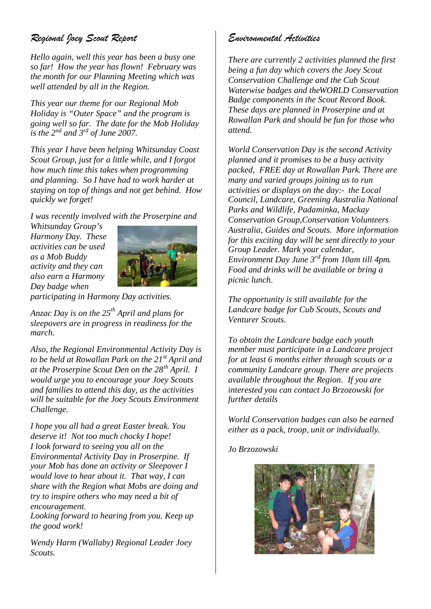# *Regional Joey Scout Report*

*Hello again, well this year has been a busy one so far! How the year has flown! February was the month for our Planning Meeting which was well attended by all in the Region.*

*This year our theme for our Regional Mob Holiday is "Outer Space" and the program is going well so far. The date for the Mob Holiday is the 2nd and 3rd of June 2007.*

*This year I have been helping Whitsunday Coast Scout Group, just for a little while, and I forgot how much time this takes when programming and planning. So I have had to work harder at staying on top of things and not get behind. How quickly we forget!*

*I was recently involved with the Proserpine and*

*Whitsunday Group's Harmony Day. These activities can be used as a Mob Buddy activity and they can also earn a Harmony Day badge when*



*participating in Harmony Day activities.*

*Anzac Day is on the 25th April and plans for sleepovers are in progress in readiness for the march.*

*Also, the Regional Environmental Activity Day is to be held at Rowallan Park on the 21st April and at the Proserpine Scout Den on the 28th April. I would urge you to encourage your Joey Scouts and families to attend this day, as the activities will be suitable for the Joey Scouts Environment Challenge.*

*I hope you all had a great Easter break. You deserve it! Not too much chocky I hope! I look forward to seeing you all on the Environmental Activity Day in Proserpine. If your Mob has done an activity or Sleepover I would love to hear about it. That way, I can share with the Region what Mobs are doing and try to inspire others who may need a bit of encouragement.*

*Looking forward to hearing from you. Keep up the good work!*

*Wendy Harm (Wallaby) Regional Leader Joey Scouts.*

#### *Environmental Activities*

*There are currently 2 activities planned the first being a fun day which covers the Joey Scout Conservation Challenge and the Cub Scout Waterwise badges and theWORLD Conservation Badge components in the Scout Record Book. These days are planned in Proserpine and at Rowallan Park and should be fun for those who attend.*

*World Conservation Day is the second Activity planned and it promises to be a busy activity packed, FREE day at Rowallan Park. There are many and varied groups joining us to run activities or displays on the day:- the Local Council, Landcare, Greening Australia National Parks and Wildlife, Padaminka, Mackay Conservation Group,Conservation Volunteers Australia, Guides and Scouts. More information for this exciting day will be sent directly to your Group Leader. Mark your calendar, Environment Day June 3rd from 10am till 4pm. Food and drinks will be available or bring a picnic lunch.*

*The opportunity is still available for the Landcare badge for Cub Scouts, Scouts and Venturer Scouts.*

*To obtain the Landcare badge each youth member must participate in a Landcare project for at least 6 months either through scouts or a community Landcare group. There are projects available throughout the Region. If you are interested you can contact Jo Brzozowski for further details*

*World Conservation badges can also be earned either as a pack, troop, unit or individually.*

*Jo Brzozowski*

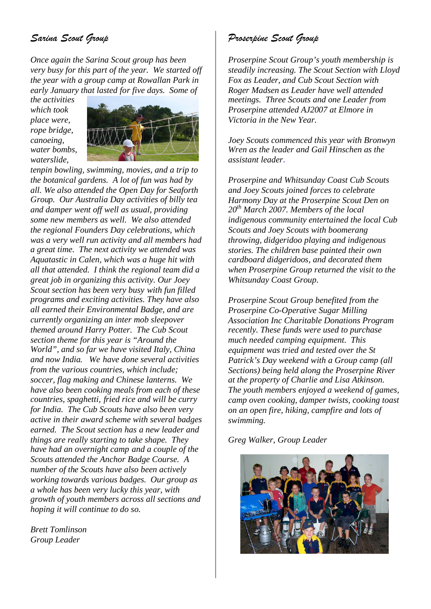# *Sarina Scout Group*

*Once again the Sarina Scout group has been very busy for this part of the year. We started off the year with a group camp at Rowallan Park in early January that lasted for five days. Some of*

*the activities which took place were, rope bridge, canoeing, water bombs, waterslide,*



*tenpin bowling, swimming, movies, and a trip to the botanical gardens. A lot of fun was had by all. We also attended the Open Day for Seaforth Group. Our Australia Day activities of billy tea and damper went off well as usual, providing some new members as well. We also attended the regional Founders Day celebrations, which was a very well run activity and all members had a great time. The next activity we attended was Aquatastic in Calen, which was a huge hit with all that attended. I think the regional team did a great job in organizing this activity. Our Joey Scout section has been very busy with fun filled programs and exciting activities. They have also all earned their Environmental Badge, and are currently organizing an inter mob sleepover themed around Harry Potter. The Cub Scout section theme for this year is "Around the World", and so far we have visited Italy, China and now India. We have done several activities from the various countries, which include; soccer, flag making and Chinese lanterns. We have also been cooking meals from each of these countries, spaghetti, fried rice and will be curry for India. The Cub Scouts have also been very active in their award scheme with several badges earned. The Scout section has a new leader and things are really starting to take shape. They have had an overnight camp and a couple of the Scouts attended the Anchor Badge Course. A number of the Scouts have also been actively working towards various badges. Our group as a whole has been very lucky this year, with growth of youth members across all sections and hoping it will continue to do so.*

*Brett Tomlinson Group Leader*

#### *Proserpine Scout Group*

*Proserpine Scout Group's youth membership is steadily increasing. The Scout Section with Lloyd Fox as Leader, and Cub Scout Section with Roger Madsen as Leader have well attended meetings. Three Scouts and one Leader from Proserpine attended AJ2007 at Elmore in Victoria in the New Year.*

*Joey Scouts commenced this year with Bronwyn Wren as the leader and Gail Hinschen as the assistant leader.*

*Proserpine and Whitsunday Coast Cub Scouts and Joey Scouts joined forces to celebrate Harmony Day at the Proserpine Scout Den on 20th March 2007. Members of the local indigenous community entertained the local Cub Scouts and Joey Scouts with boomerang throwing, didgeridoo playing and indigenous stories. The children base painted their own cardboard didgeridoos, and decorated them when Proserpine Group returned the visit to the Whitsunday Coast Group.*

*Proserpine Scout Group benefited from the Proserpine Co-Operative Sugar Milling Association Inc Charitable Donations Program recently. These funds were used to purchase much needed camping equipment. This equipment was tried and tested over the St Patrick's Day weekend with a Group camp (all Sections) being held along the Proserpine River at the property of Charlie and Lisa Atkinson. The youth members enjoyed a weekend of games, camp oven cooking, damper twists, cooking toast on an open fire, hiking, campfire and lots of swimming.*

*Greg Walker, Group Leader*

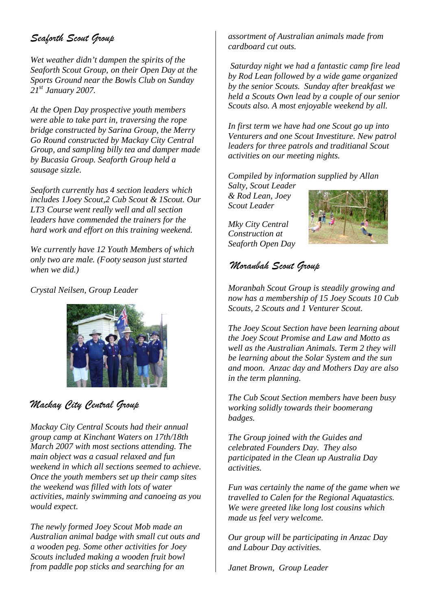# *Seaforth Scout Group*

*Wet weather didn't dampen the spirits of the Seaforth Scout Group, on their Open Day at the Sports Ground near the Bowls Club on Sunday 21st January 2007.*

*At the Open Day prospective youth members were able to take part in, traversing the rope bridge constructed by Sarina Group, the Merry Go Round constructed by Mackay City Central Group, and sampling billy tea and damper made by Bucasia Group. Seaforth Group held a sausage sizzle.*

*Seaforth currently has 4 section leaders which includes 1Joey Scout,2 Cub Scout & 1Scout. Our LT3 Course went really well and all section leaders have commended the trainers for the hard work and effort on this training weekend.*

*We currently have 12 Youth Members of which only two are male. (Footy season just started when we did.)*

*Crystal Neilsen, Group Leader*



# *Mackay City Central Group*

*Mackay City Central Scouts had their annual group camp at Kinchant Waters on 17th/18th March 2007 with most sections attending. The main object was a casual relaxed and fun weekend in which all sections seemed to achieve. Once the youth members set up their camp sites the weekend was filled with lots of water activities, mainly swimming and canoeing as you would expect.*

*The newly formed Joey Scout Mob made an Australian animal badge with small cut outs and a wooden peg. Some other activities for Joey Scouts included making a wooden fruit bowl from paddle pop sticks and searching for an*

*assortment of Australian animals made from cardboard cut outs.*

*Saturday night we had a fantastic camp fire lead by Rod Lean followed by a wide game organized by the senior Scouts. Sunday after breakfast we held a Scouts Own lead by a couple of our senior Scouts also. A most enjoyable weekend by all.*

*In first term we have had one Scout go up into Venturers and one Scout Investiture. New patrol leaders for three patrols and traditianal Scout activities on our meeting nights.*

*Compiled by information supplied by Allan*

*Salty, Scout Leader & Rod Lean, Joey Scout Leader*

*Mky City Central Construction at Seaforth Open Day*



# *Moranbah Scout Group*

*Moranbah Scout Group is steadily growing and now has a membership of 15 Joey Scouts 10 Cub Scouts, 2 Scouts and 1 Venturer Scout.*

*The Joey Scout Section have been learning about the Joey Scout Promise and Law and Motto as well as the Australian Animals. Term 2 they will be learning about the Solar System and the sun and moon. Anzac day and Mothers Day are also in the term planning.*

*The Cub Scout Section members have been busy working solidly towards their boomerang badges.*

*The Group joined with the Guides and celebrated Founders Day. They also participated in the Clean up Australia Day activities.*

*Fun was certainly the name of the game when we travelled to Calen for the Regional Aquatastics. We were greeted like long lost cousins which made us feel very welcome.*

*Our group will be participating in Anzac Day and Labour Day activities.*

*Janet Brown, Group Leader*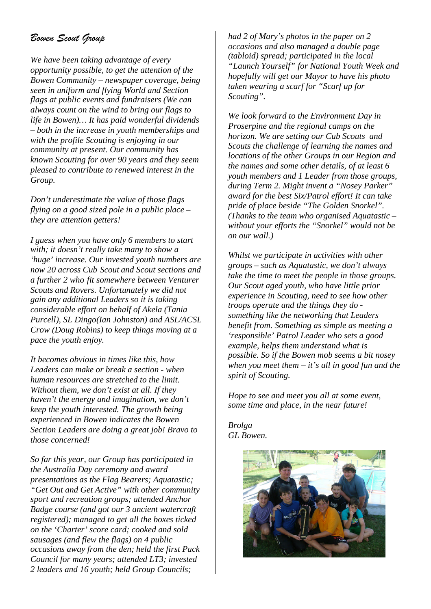## *Bowen Scout Group*

*We have been taking advantage of every opportunity possible, to get the attention of the Bowen Community – newspaper coverage, being seen in uniform and flying World and Section flags at public events and fundraisers (We can always count on the wind to bring our flags to life in Bowen)… It has paid wonderful dividends – both in the increase in youth memberships and with the profile Scouting is enjoying in our community at present. Our community has known Scouting for over 90 years and they seem pleased to contribute to renewed interest in the Group.*

*Don't underestimate the value of those flags flying on a good sized pole in a public place – they are attention getters!*

*I guess when you have only 6 members to start with; it doesn't really take many to show a 'huge' increase. Our invested youth numbers are now 20 across Cub Scout and Scout sections and a further 2 who fit somewhere between Venturer Scouts and Rovers. Unfortunately we did not gain any additional Leaders so it is taking considerable effort on behalf of Akela (Tania Purcell), SL Dingo(Ian Johnston) and ASL/ACSL Crow (Doug Robins) to keep things moving at a pace the youth enjoy.*

*It becomes obvious in times like this, how Leaders can make or break a section - when human resources are stretched to the limit. Without them, we don't exist at all. If they haven't the energy and imagination, we don't keep the youth interested. The growth being experienced in Bowen indicates the Bowen Section Leaders are doing a great job! Bravo to those concerned!*

*So far this year, our Group has participated in the Australia Day ceremony and award presentations as the Flag Bearers; Aquatastic; "Get Out and Get Active" with other community sport and recreation groups; attended Anchor Badge course (and got our 3 ancient watercraft registered); managed to get all the boxes ticked on the 'Charter' score card; cooked and sold sausages (and flew the flags) on 4 public occasions away from the den; held the first Pack Council for many years; attended LT3; invested 2 leaders and 16 youth; held Group Councils;*

*had 2 of Mary's photos in the paper on 2 occasions and also managed a double page (tabloid) spread; participated in the local "Launch Yourself" for National Youth Week and hopefully will get our Mayor to have his photo taken wearing a scarf for "Scarf up for Scouting".*

*We look forward to the Environment Day in Proserpine and the regional camps on the horizon. We are setting our Cub Scouts and Scouts the challenge of learning the names and locations of the other Groups in our Region and the names and some other details, of at least 6 youth members and 1 Leader from those groups, during Term 2. Might invent a "Nosey Parker" award for the best Six/Patrol effort! It can take pride of place beside "The Golden Snorkel". (Thanks to the team who organised Aquatastic – without your efforts the "Snorkel" would not be on our wall.)*

*Whilst we participate in activities with other groups – such as Aquatastic, we don't always take the time to meet the people in those groups. Our Scout aged youth, who have little prior experience in Scouting, need to see how other troops operate and the things they do something like the networking that Leaders benefit from. Something as simple as meeting a 'responsible' Patrol Leader who sets a good example, helps them understand what is possible. So if the Bowen mob seems a bit nosey when you meet them – it's all in good fun and the spirit of Scouting.*

*Hope to see and meet you all at some event, some time and place, in the near future!*

*Brolga GL Bowen.*

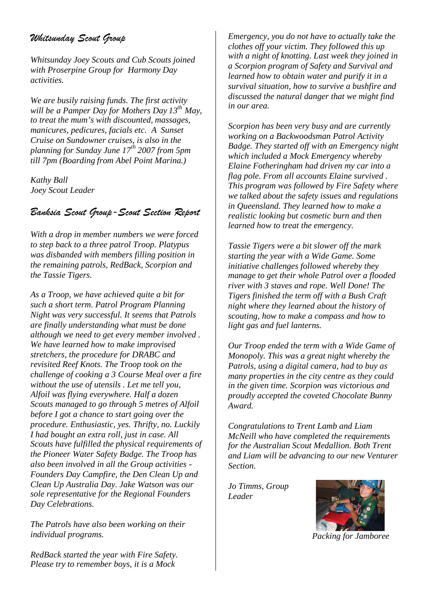## *Whitsunday Scout Group*

*Whitsunday Joey Scouts and Cub Scouts joined with Proserpine Group for Harmony Day activities.*

*We are busily raising funds. The first activity will be a Pamper Day for Mothers Day 13th May, to treat the mum's with discounted, massages, manicures, pedicures, facials etc. A Sunset Cruise on Sundowner cruises, is also in the planning for Sunday June 17th 2007 from 5pm till 7pm (Boarding from Abel Point Marina.)*

*Kathy Ball Joey Scout Leader*

#### *Banksia Scout Group-Scout Section Report*

*With a drop in member numbers we were forced to step back to a three patrol Troop. Platypus was disbanded with members filling position in the remaining patrols, RedBack, Scorpion and the Tassie Tigers.*

*As a Troop, we have achieved quite a bit for such a short term. Patrol Program Planning Night was very successful. It seems that Patrols are finally understanding what must be done although we need to get every member involved . We have learned how to make improvised stretchers, the procedure for DRABC and revisited Reef Knots. The Troop took on the challenge of cooking a 3 Course Meal over a fire without the use of utensils . Let me tell you, Alfoil was flying everywhere. Half a dozen Scouts managed to go through 5 metres of Alfoil before I got a chance to start going over the procedure. Enthusiastic, yes. Thrifty, no. Luckily I had bought an extra roll, just in case. All Scouts have fulfilled the physical requirements of the Pioneer Water Safety Badge. The Troop has also been involved in all the Group activities - Founders Day Campfire, the Den Clean Up and Clean Up Australia Day. Jake Watson was our sole representative for the Regional Founders Day Celebrations.*

*The Patrols have also been working on their individual programs.*

*RedBack started the year with Fire Safety. Please try to remember boys, it is a Mock*

*Emergency, you do not have to actually take the clothes off your victim. They followed this up with a night of knotting. Last week they joined in a Scorpion program of Safety and Survival and learned how to obtain water and purify it in a survival situation, how to survive a bushfire and discussed the natural danger that we might find in our area.*

*Scorpion has been very busy and are currently working on a Backwoodsman Patrol Activity Badge. They started off with an Emergency night which included a Mock Emergency whereby Elaine Fotheringham had driven my car into a flag pole. From all accounts Elaine survived . This program was followed by Fire Safety where we talked about the safety issues and regulations in Queensland. They learned how to make a realistic looking but cosmetic burn and then learned how to treat the emergency.*

*Tassie Tigers were a bit slower off the mark starting the year with a Wide Game. Some initiative challenges followed whereby they manage to get their whole Patrol over a flooded river with 3 staves and rope. Well Done! The Tigers finished the term off with a Bush Craft night where they learned about the history of scouting, how to make a compass and how to light gas and fuel lanterns.*

*Our Troop ended the term with a Wide Game of Monopoly. This was a great night whereby the Patrols, using a digital camera, had to buy as many properties in the city centre as they could in the given time. Scorpion was victorious and proudly accepted the coveted Chocolate Bunny Award.*

*Congratulations to Trent Lamb and Liam McNeill who have completed the requirements for the Australian Scout Medallion. Both Trent and Liam will be advancing to our new Venturer Section.*

*Jo Timms, Group Leader*



*Packing for Jamboree*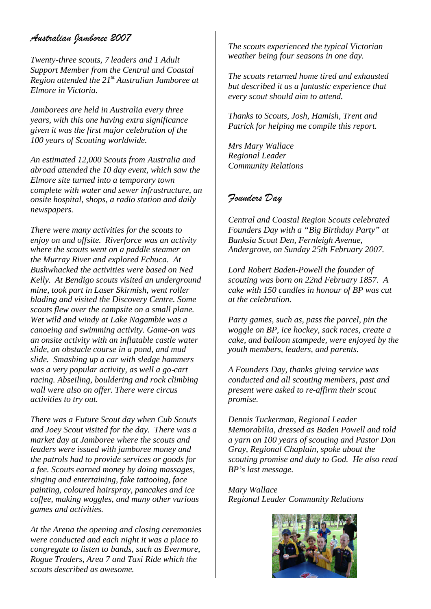### *Australian Jamboree 2007*

*Twenty-three scouts, 7 leaders and 1 Adult Support Member from the Central and Coastal Region attended the 21st Australian Jamboree at Elmore in Victoria.*

*Jamborees are held in Australia every three years, with this one having extra significance given it was the first major celebration of the 100 years of Scouting worldwide.*

*An estimated 12,000 Scouts from Australia and abroad attended the 10 day event, which saw the Elmore site turned into a temporary town complete with water and sewer infrastructure, an onsite hospital, shops, a radio station and daily newspapers.*

*There were many activities for the scouts to enjoy on and offsite. Riverforce was an activity where the scouts went on a paddle steamer on the Murray River and explored Echuca. At Bushwhacked the activities were based on Ned Kelly. At Bendigo scouts visited an underground mine, took part in Laser Skirmish, went roller blading and visited the Discovery Centre. Some scouts flew over the campsite on a small plane. Wet wild and windy at Lake Nagambie was a canoeing and swimming activity. Game-on was an onsite activity with an inflatable castle water slide, an obstacle course in a pond, and mud slide. Smashing up a car with sledge hammers was a very popular activity, as well a go-cart racing. Abseiling, bouldering and rock climbing wall were also on offer. There were circus activities to try out.*

*There was a Future Scout day when Cub Scouts and Joey Scout visited for the day. There was a market day at Jamboree where the scouts and leaders were issued with jamboree money and the patrols had to provide services or goods for a fee. Scouts earned money by doing massages, singing and entertaining, fake tattooing, face painting, coloured hairspray, pancakes and ice coffee, making woggles, and many other various games and activities.*

*At the Arena the opening and closing ceremonies were conducted and each night it was a place to congregate to listen to bands, such as Evermore, Rogue Traders, Area 7 and Taxi Ride which the scouts described as awesome.*

*The scouts experienced the typical Victorian weather being four seasons in one day.*

*The scouts returned home tired and exhausted but described it as a fantastic experience that every scout should aim to attend.*

*Thanks to Scouts, Josh, Hamish, Trent and Patrick for helping me compile this report.*

*Mrs Mary Wallace Regional Leader Community Relations*

#### *Founders Day*

*Central and Coastal Region Scouts celebrated Founders Day with a "Big Birthday Party" at Banksia Scout Den, Fernleigh Avenue, Andergrove, on Sunday 25th February 2007.*

*Lord Robert Baden-Powell the founder of scouting was born on 22nd February 1857. A cake with 150 candles in honour of BP was cut at the celebration.*

*Party games, such as, pass the parcel, pin the woggle on BP, ice hockey, sack races, create a cake, and balloon stampede, were enjoyed by the youth members, leaders, and parents.*

*A Founders Day, thanks giving service was conducted and all scouting members, past and present were asked to re-affirm their scout promise.*

*Dennis Tuckerman, Regional Leader Memorabilia, dressed as Baden Powell and told a yarn on 100 years of scouting and Pastor Don Gray, Regional Chaplain, spoke about the scouting promise and duty to God. He also read BP's last message.*

*Mary Wallace Regional Leader Community Relations*